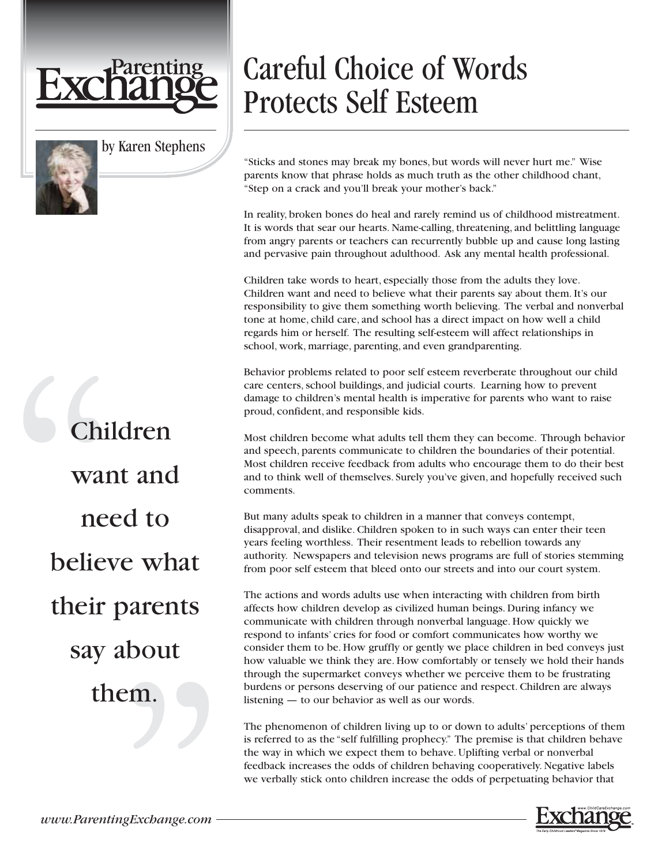

## by Karen Stephens

Children want and need to believe what their parents say about them.

## Careful Choice of Words Protects Self Esteem

"Sticks and stones may break my bones, but words will never hurt me." Wise parents know that phrase holds as much truth as the other childhood chant, "Step on a crack and you'll break your mother's back."

In reality, broken bones do heal and rarely remind us of childhood mistreatment. It is words that sear our hearts. Name-calling, threatening, and belittling language from angry parents or teachers can recurrently bubble up and cause long lasting and pervasive pain throughout adulthood. Ask any mental health professional.

Children take words to heart, especially those from the adults they love. Children want and need to believe what their parents say about them. It's our responsibility to give them something worth believing. The verbal and nonverbal tone at home, child care, and school has a direct impact on how well a child regards him or herself. The resulting self-esteem will affect relationships in school, work, marriage, parenting, and even grandparenting.

Behavior problems related to poor self esteem reverberate throughout our child care centers, school buildings, and judicial courts. Learning how to prevent damage to children's mental health is imperative for parents who want to raise proud, confident, and responsible kids.

Most children become what adults tell them they can become. Through behavior and speech, parents communicate to children the boundaries of their potential. Most children receive feedback from adults who encourage them to do their best and to think well of themselves. Surely you've given, and hopefully received such comments.

But many adults speak to children in a manner that conveys contempt, disapproval, and dislike. Children spoken to in such ways can enter their teen years feeling worthless. Their resentment leads to rebellion towards any authority. Newspapers and television news programs are full of stories stemming from poor self esteem that bleed onto our streets and into our court system.

The actions and words adults use when interacting with children from birth affects how children develop as civilized human beings. During infancy we communicate with children through nonverbal language. How quickly we respond to infants' cries for food or comfort communicates how worthy we consider them to be. How gruffly or gently we place children in bed conveys just how valuable we think they are. How comfortably or tensely we hold their hands through the supermarket conveys whether we perceive them to be frustrating burdens or persons deserving of our patience and respect. Children are always listening — to our behavior as well as our words.

The phenomenon of children living up to or down to adults' perceptions of them is referred to as the "self fulfilling prophecy." The premise is that children behave the way in which we expect them to behave. Uplifting verbal or nonverbal feedback increases the odds of children behaving cooperatively. Negative labels we verbally stick onto children increase the odds of perpetuating behavior that